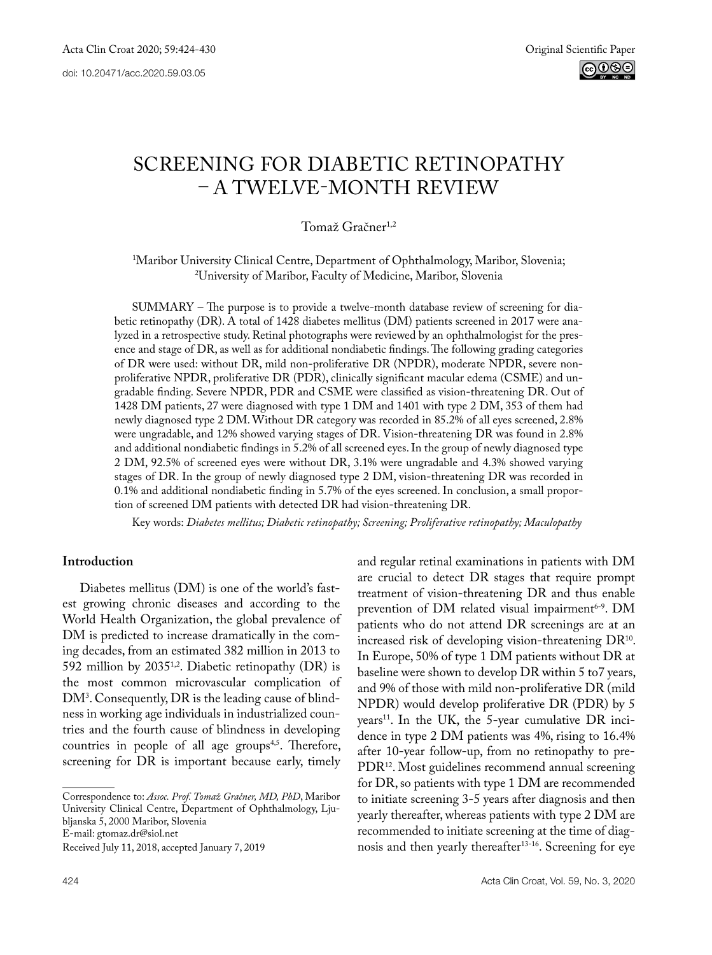# SCREENING FOR DIABETIC RETINOPATHY – A TWELVE-MONTH REVIEW

## Tomaž Gračner<sup>1,2</sup>

## 1 Maribor University Clinical Centre, Department of Ophthalmology, Maribor, Slovenia; 2 University of Maribor, Faculty of Medicine, Maribor, Slovenia

SUMMARY – The purpose is to provide a twelve-month database review of screening for diabetic retinopathy (DR). A total of 1428 diabetes mellitus (DM) patients screened in 2017 were analyzed in a retrospective study. Retinal photographs were reviewed by an ophthalmologist for the presence and stage of DR, as well as for additional nondiabetic findings. The following grading categories of DR were used: without DR, mild non-proliferative DR (NPDR), moderate NPDR, severe nonproliferative NPDR, proliferative DR (PDR), clinically significant macular edema (CSME) and ungradable finding. Severe NPDR, PDR and CSME were classified as vision-threatening DR. Out of 1428 DM patients, 27 were diagnosed with type 1 DM and 1401 with type 2 DM, 353 of them had newly diagnosed type 2 DM. Without DR category was recorded in 85.2% of all eyes screened, 2.8% were ungradable, and 12% showed varying stages of DR. Vision-threatening DR was found in 2.8% and additional nondiabetic findings in 5.2% of all screened eyes. In the group of newly diagnosed type 2 DM, 92.5% of screened eyes were without DR, 3.1% were ungradable and 4.3% showed varying stages of DR. In the group of newly diagnosed type 2 DM, vision-threatening DR was recorded in 0.1% and additional nondiabetic finding in 5.7% of the eyes screened. In conclusion, a small proportion of screened DM patients with detected DR had vision-threatening DR.

Key words: *Diabetes mellitus; Diabetic retinopathy; Screening; Proliferative retinopathy; Maculopathy*

### **Introduction**

Diabetes mellitus (DM) is one of the world's fastest growing chronic diseases and according to the World Health Organization, the global prevalence of DM is predicted to increase dramatically in the coming decades, from an estimated 382 million in 2013 to 592 million by 2035<sup>1,2</sup>. Diabetic retinopathy (DR) is the most common microvascular complication of DM3 . Consequently, DR is the leading cause of blindness in working age individuals in industrialized countries and the fourth cause of blindness in developing countries in people of all age groups<sup>4,5</sup>. Therefore, screening for DR is important because early, timely

Correspondence to: *Assoc. Prof. Tomaž Gračner, MD, PhD*, Maribor University Clinical Centre, Department of Ophthalmology, Ljubljanska 5, 2000 Maribor, Slovenia E-mail: gtomaz.dr@siol.net

Received July 11, 2018, accepted January 7, 2019

and regular retinal examinations in patients with DM are crucial to detect DR stages that require prompt treatment of vision-threatening DR and thus enable prevention of DM related visual impairment<sup>6-9</sup>. DM patients who do not attend DR screenings are at an increased risk of developing vision-threatening DR<sup>10</sup>. In Europe, 50% of type 1 DM patients without DR at baseline were shown to develop DR within 5 to7 years, and 9% of those with mild non-proliferative DR (mild NPDR) would develop proliferative DR (PDR) by 5 years<sup>11</sup>. In the UK, the 5-year cumulative DR incidence in type 2 DM patients was 4%, rising to 16.4% after 10-year follow-up, from no retinopathy to pre-PDR12. Most guidelines recommend annual screening for DR, so patients with type 1 DM are recommended to initiate screening 3-5 years after diagnosis and then yearly thereafter, whereas patients with type 2 DM are recommended to initiate screening at the time of diagnosis and then yearly thereafter<sup>13-16</sup>. Screening for eye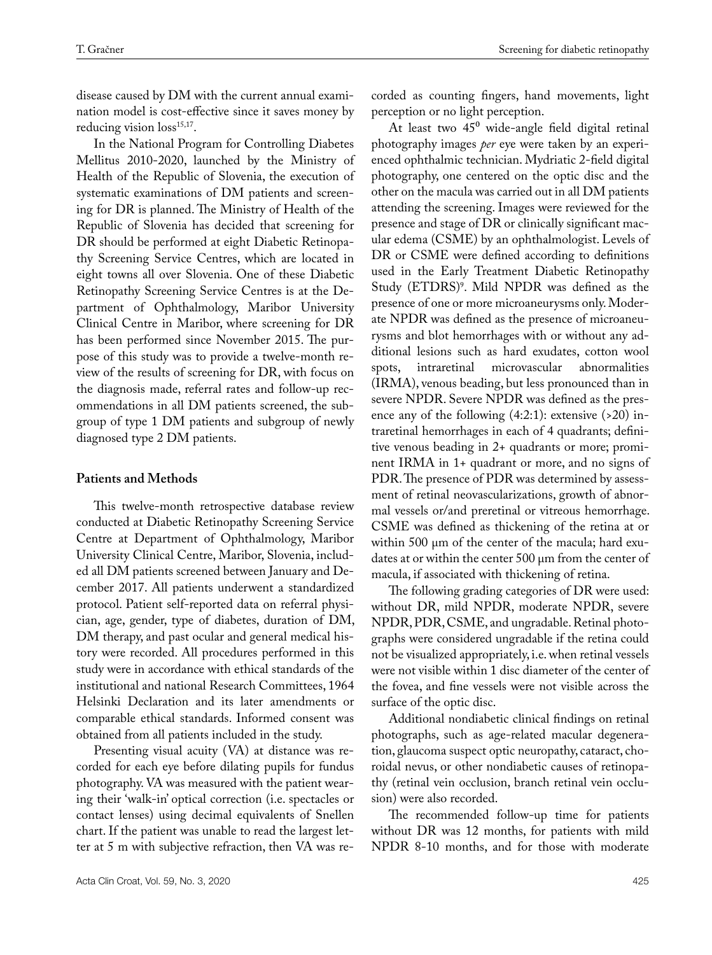disease caused by DM with the current annual examination model is cost-effective since it saves money by reducing vision  $loss^{15,17}$ .

In the National Program for Controlling Diabetes Mellitus 2010-2020, launched by the Ministry of Health of the Republic of Slovenia, the execution of systematic examinations of DM patients and screening for DR is planned. The Ministry of Health of the Republic of Slovenia has decided that screening for DR should be performed at eight Diabetic Retinopathy Screening Service Centres, which are located in eight towns all over Slovenia. One of these Diabetic Retinopathy Screening Service Centres is at the Department of Ophthalmology, Maribor University Clinical Centre in Maribor, where screening for DR has been performed since November 2015. The purpose of this study was to provide a twelve-month review of the results of screening for DR, with focus on the diagnosis made, referral rates and follow-up recommendations in all DM patients screened, the subgroup of type 1 DM patients and subgroup of newly diagnosed type 2 DM patients.

#### **Patients and Methods**

This twelve-month retrospective database review conducted at Diabetic Retinopathy Screening Service Centre at Department of Ophthalmology, Maribor University Clinical Centre, Maribor, Slovenia, included all DM patients screened between January and December 2017. All patients underwent a standardized protocol. Patient self-reported data on referral physician, age, gender, type of diabetes, duration of DM, DM therapy, and past ocular and general medical history were recorded. All procedures performed in this study were in accordance with ethical standards of the institutional and national Research Committees, 1964 Helsinki Declaration and its later amendments or comparable ethical standards. Informed consent was obtained from all patients included in the study.

Presenting visual acuity (VA) at distance was recorded for each eye before dilating pupils for fundus photography. VA was measured with the patient wearing their 'walk-in' optical correction (i.e. spectacles or contact lenses) using decimal equivalents of Snellen chart. If the patient was unable to read the largest letter at 5 m with subjective refraction, then VA was recorded as counting fingers, hand movements, light perception or no light perception.

At least two  $45^{\circ}$  wide-angle field digital retinal photography images *per* eye were taken by an experienced ophthalmic technician. Mydriatic 2-field digital photography, one centered on the optic disc and the other on the macula was carried out in all DM patients attending the screening. Images were reviewed for the presence and stage of DR or clinically significant macular edema (CSME) by an ophthalmologist. Levels of DR or CSME were defined according to definitions used in the Early Treatment Diabetic Retinopathy Study (ETDRS)<sup>9</sup>. Mild NPDR was defined as the presence of one or more microaneurysms only. Moderate NPDR was defined as the presence of microaneurysms and blot hemorrhages with or without any additional lesions such as hard exudates, cotton wool spots, intraretinal microvascular abnormalities (IRMA), venous beading, but less pronounced than in severe NPDR. Severe NPDR was defined as the presence any of the following  $(4:2:1)$ : extensive  $(>20)$  intraretinal hemorrhages in each of 4 quadrants; definitive venous beading in 2+ quadrants or more; prominent IRMA in 1+ quadrant or more, and no signs of PDR. The presence of PDR was determined by assessment of retinal neovascularizations, growth of abnormal vessels or/and preretinal or vitreous hemorrhage. CSME was defined as thickening of the retina at or within 500 μm of the center of the macula; hard exudates at or within the center 500 µm from the center of macula, if associated with thickening of retina.

The following grading categories of DR were used: without DR, mild NPDR, moderate NPDR, severe NPDR, PDR, CSME, and ungradable. Retinal photographs were considered ungradable if the retina could not be visualized appropriately, i.e. when retinal vessels were not visible within 1 disc diameter of the center of the fovea, and fine vessels were not visible across the surface of the optic disc.

Additional nondiabetic clinical findings on retinal photographs, such as age-related macular degeneration, glaucoma suspect optic neuropathy, cataract, choroidal nevus, or other nondiabetic causes of retinopathy (retinal vein occlusion, branch retinal vein occlusion) were also recorded.

The recommended follow-up time for patients without DR was 12 months, for patients with mild NPDR 8-10 months, and for those with moderate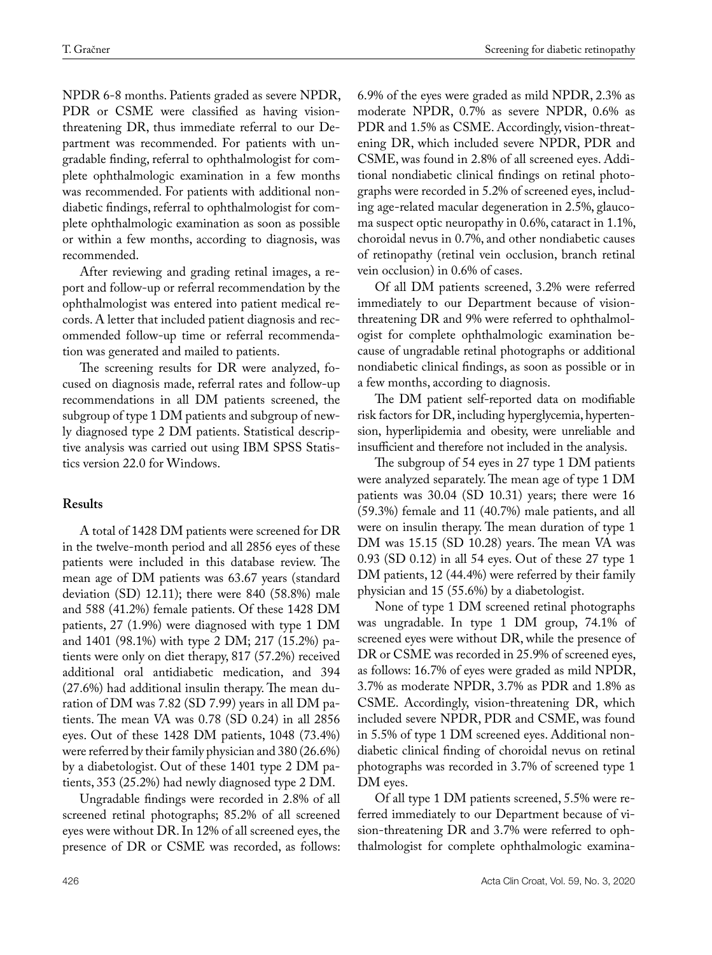NPDR 6-8 months. Patients graded as severe NPDR, PDR or CSME were classified as having visionthreatening DR, thus immediate referral to our Department was recommended. For patients with ungradable finding, referral to ophthalmologist for complete ophthalmologic examination in a few months was recommended. For patients with additional nondiabetic findings, referral to ophthalmologist for complete ophthalmologic examination as soon as possible or within a few months, according to diagnosis, was recommended.

After reviewing and grading retinal images, a report and follow-up or referral recommendation by the ophthalmologist was entered into patient medical records. A letter that included patient diagnosis and recommended follow-up time or referral recommendation was generated and mailed to patients.

The screening results for DR were analyzed, focused on diagnosis made, referral rates and follow-up recommendations in all DM patients screened, the subgroup of type 1 DM patients and subgroup of newly diagnosed type 2 DM patients. Statistical descriptive analysis was carried out using IBM SPSS Statistics version 22.0 for Windows.

#### **Results**

A total of 1428 DM patients were screened for DR in the twelve-month period and all 2856 eyes of these patients were included in this database review. The mean age of DM patients was 63.67 years (standard deviation (SD) 12.11); there were 840 (58.8%) male and 588 (41.2%) female patients. Of these 1428 DM patients, 27 (1.9%) were diagnosed with type 1 DM and 1401 (98.1%) with type 2 DM; 217 (15.2%) patients were only on diet therapy, 817 (57.2%) received additional oral antidiabetic medication, and 394 (27.6%) had additional insulin therapy. The mean duration of DM was 7.82 (SD 7.99) years in all DM patients. The mean VA was 0.78 (SD 0.24) in all 2856 eyes. Out of these 1428 DM patients, 1048 (73.4%) were referred by their family physician and 380 (26.6%) by a diabetologist. Out of these 1401 type 2 DM patients, 353 (25.2%) had newly diagnosed type 2 DM.

Ungradable findings were recorded in 2.8% of all screened retinal photographs; 85.2% of all screened eyes were without DR. In 12% of all screened eyes, the presence of DR or CSME was recorded, as follows: 6.9% of the eyes were graded as mild NPDR, 2.3% as moderate NPDR, 0.7% as severe NPDR, 0.6% as PDR and 1.5% as CSME. Accordingly, vision-threatening DR, which included severe NPDR, PDR and CSME, was found in 2.8% of all screened eyes. Additional nondiabetic clinical findings on retinal photographs were recorded in 5.2% of screened eyes, including age-related macular degeneration in 2.5%, glaucoma suspect optic neuropathy in 0.6%, cataract in 1.1%, choroidal nevus in 0.7%, and other nondiabetic causes of retinopathy (retinal vein occlusion, branch retinal vein occlusion) in 0.6% of cases.

Of all DM patients screened, 3.2% were referred immediately to our Department because of visionthreatening DR and 9% were referred to ophthalmologist for complete ophthalmologic examination because of ungradable retinal photographs or additional nondiabetic clinical findings, as soon as possible or in a few months, according to diagnosis.

The DM patient self-reported data on modifiable risk factors for DR, including hyperglycemia, hypertension, hyperlipidemia and obesity, were unreliable and insufficient and therefore not included in the analysis.

The subgroup of 54 eyes in 27 type 1 DM patients were analyzed separately. The mean age of type 1 DM patients was 30.04 (SD 10.31) years; there were 16 (59.3%) female and 11 (40.7%) male patients, and all were on insulin therapy. The mean duration of type 1 DM was 15.15 (SD 10.28) years. The mean VA was 0.93 (SD 0.12) in all 54 eyes. Out of these 27 type 1 DM patients, 12 (44.4%) were referred by their family physician and 15 (55.6%) by a diabetologist.

None of type 1 DM screened retinal photographs was ungradable. In type 1 DM group, 74.1% of screened eyes were without DR, while the presence of DR or CSME was recorded in 25.9% of screened eyes, as follows: 16.7% of eyes were graded as mild NPDR, 3.7% as moderate NPDR, 3.7% as PDR and 1.8% as CSME. Accordingly, vision-threatening DR, which included severe NPDR, PDR and CSME, was found in 5.5% of type 1 DM screened eyes. Additional nondiabetic clinical finding of choroidal nevus on retinal photographs was recorded in 3.7% of screened type 1 DM eyes.

Of all type 1 DM patients screened, 5.5% were referred immediately to our Department because of vision-threatening DR and 3.7% were referred to ophthalmologist for complete ophthalmologic examina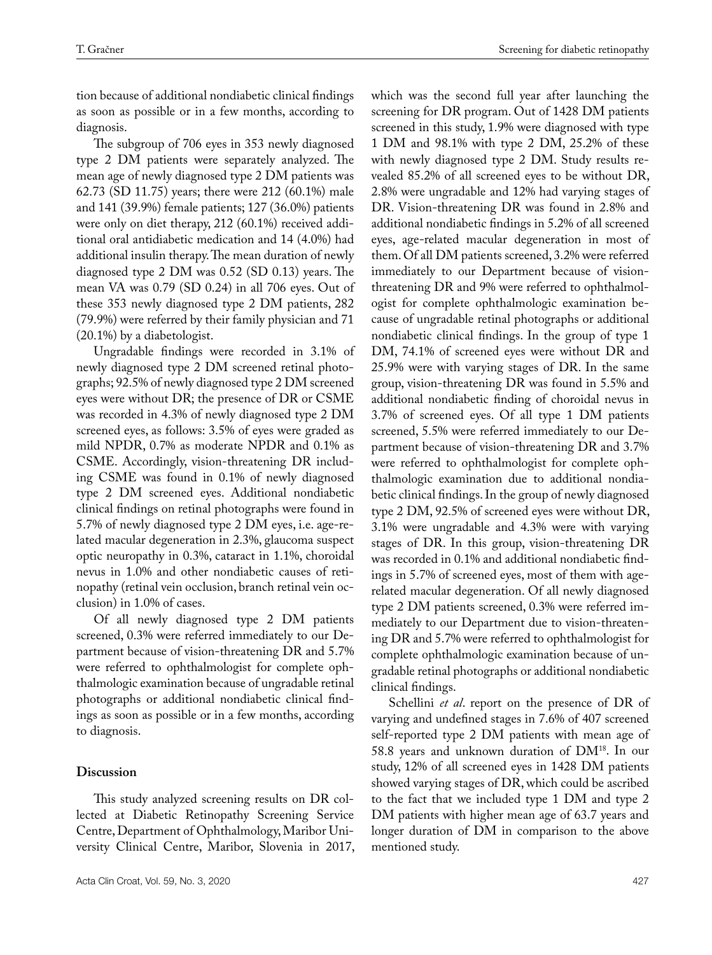tion because of additional nondiabetic clinical findings as soon as possible or in a few months, according to diagnosis.

The subgroup of 706 eyes in 353 newly diagnosed type 2 DM patients were separately analyzed. The mean age of newly diagnosed type 2 DM patients was 62.73 (SD 11.75) years; there were 212 (60.1%) male and 141 (39.9%) female patients; 127 (36.0%) patients were only on diet therapy, 212 (60.1%) received additional oral antidiabetic medication and 14 (4.0%) had additional insulin therapy. The mean duration of newly diagnosed type 2 DM was 0.52 (SD 0.13) years. The mean VA was 0.79 (SD 0.24) in all 706 eyes. Out of these 353 newly diagnosed type 2 DM patients, 282 (79.9%) were referred by their family physician and 71 (20.1%) by a diabetologist.

Ungradable findings were recorded in 3.1% of newly diagnosed type 2 DM screened retinal photographs; 92.5% of newly diagnosed type 2 DM screened eyes were without DR; the presence of DR or CSME was recorded in 4.3% of newly diagnosed type 2 DM screened eyes, as follows: 3.5% of eyes were graded as mild NPDR, 0.7% as moderate NPDR and 0.1% as CSME. Accordingly, vision-threatening DR including CSME was found in 0.1% of newly diagnosed type 2 DM screened eyes. Additional nondiabetic clinical findings on retinal photographs were found in 5.7% of newly diagnosed type 2 DM eyes, i.e. age-related macular degeneration in 2.3%, glaucoma suspect optic neuropathy in 0.3%, cataract in 1.1%, choroidal nevus in 1.0% and other nondiabetic causes of retinopathy (retinal vein occlusion, branch retinal vein occlusion) in 1.0% of cases.

Of all newly diagnosed type 2 DM patients screened, 0.3% were referred immediately to our Department because of vision-threatening DR and 5.7% were referred to ophthalmologist for complete ophthalmologic examination because of ungradable retinal photographs or additional nondiabetic clinical findings as soon as possible or in a few months, according to diagnosis.

#### **Discussion**

This study analyzed screening results on DR collected at Diabetic Retinopathy Screening Service Centre, Department of Ophthalmology, Maribor University Clinical Centre, Maribor, Slovenia in 2017,

which was the second full year after launching the screening for DR program. Out of 1428 DM patients screened in this study, 1.9% were diagnosed with type 1 DM and 98.1% with type 2 DM, 25.2% of these with newly diagnosed type 2 DM. Study results revealed 85.2% of all screened eyes to be without DR, 2.8% were ungradable and 12% had varying stages of DR. Vision-threatening DR was found in 2.8% and additional nondiabetic findings in 5.2% of all screened eyes, age-related macular degeneration in most of them. Of all DM patients screened, 3.2% were referred immediately to our Department because of visionthreatening DR and 9% were referred to ophthalmologist for complete ophthalmologic examination because of ungradable retinal photographs or additional nondiabetic clinical findings. In the group of type 1 DM, 74.1% of screened eyes were without DR and 25.9% were with varying stages of DR. In the same group, vision-threatening DR was found in 5.5% and additional nondiabetic finding of choroidal nevus in 3.7% of screened eyes. Of all type 1 DM patients screened, 5.5% were referred immediately to our Department because of vision-threatening DR and 3.7% were referred to ophthalmologist for complete ophthalmologic examination due to additional nondiabetic clinical findings. In the group of newly diagnosed type 2 DM, 92.5% of screened eyes were without DR, 3.1% were ungradable and 4.3% were with varying stages of DR. In this group, vision-threatening DR was recorded in 0.1% and additional nondiabetic findings in 5.7% of screened eyes, most of them with agerelated macular degeneration. Of all newly diagnosed type 2 DM patients screened, 0.3% were referred immediately to our Department due to vision-threatening DR and 5.7% were referred to ophthalmologist for complete ophthalmologic examination because of ungradable retinal photographs or additional nondiabetic clinical findings.

Schellini *et al*. report on the presence of DR of varying and undefined stages in 7.6% of 407 screened self-reported type 2 DM patients with mean age of 58.8 years and unknown duration of DM18. In our study, 12% of all screened eyes in 1428 DM patients showed varying stages of DR, which could be ascribed to the fact that we included type 1 DM and type 2 DM patients with higher mean age of 63.7 years and longer duration of DM in comparison to the above mentioned study.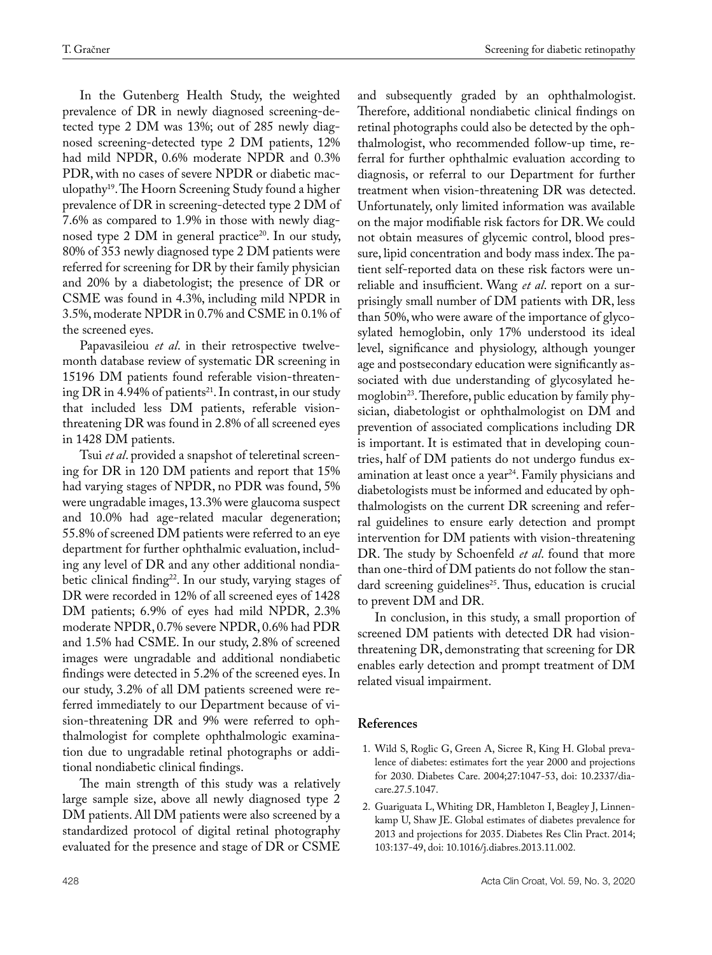In the Gutenberg Health Study, the weighted prevalence of DR in newly diagnosed screening-detected type 2 DM was 13%; out of 285 newly diagnosed screening-detected type 2 DM patients, 12% had mild NPDR, 0.6% moderate NPDR and 0.3% PDR, with no cases of severe NPDR or diabetic maculopathy19. The Hoorn Screening Study found a higher prevalence of DR in screening-detected type 2 DM of 7.6% as compared to 1.9% in those with newly diagnosed type 2 DM in general practice<sup>20</sup>. In our study, 80% of 353 newly diagnosed type 2 DM patients were referred for screening for DR by their family physician and 20% by a diabetologist; the presence of DR or CSME was found in 4.3%, including mild NPDR in 3.5%, moderate NPDR in 0.7% and CSME in 0.1% of the screened eyes.

Papavasileiou *et al*. in their retrospective twelvemonth database review of systematic DR screening in 15196 DM patients found referable vision-threatening DR in 4.94% of patients<sup>21</sup>. In contrast, in our study that included less DM patients, referable visionthreatening DR was found in 2.8% of all screened eyes in 1428 DM patients.

Tsui *et al*. provided a snapshot of teleretinal screening for DR in 120 DM patients and report that 15% had varying stages of NPDR, no PDR was found, 5% were ungradable images, 13.3% were glaucoma suspect and 10.0% had age-related macular degeneration; 55.8% of screened DM patients were referred to an eye department for further ophthalmic evaluation, including any level of DR and any other additional nondiabetic clinical finding<sup>22</sup>. In our study, varying stages of DR were recorded in 12% of all screened eyes of 1428 DM patients; 6.9% of eyes had mild NPDR, 2.3% moderate NPDR, 0.7% severe NPDR, 0.6% had PDR and 1.5% had CSME. In our study, 2.8% of screened images were ungradable and additional nondiabetic findings were detected in 5.2% of the screened eyes. In our study, 3.2% of all DM patients screened were referred immediately to our Department because of vision-threatening DR and 9% were referred to ophthalmologist for complete ophthalmologic examination due to ungradable retinal photographs or additional nondiabetic clinical findings.

The main strength of this study was a relatively large sample size, above all newly diagnosed type 2 DM patients. All DM patients were also screened by a standardized protocol of digital retinal photography evaluated for the presence and stage of DR or CSME

and subsequently graded by an ophthalmologist. Therefore, additional nondiabetic clinical findings on retinal photographs could also be detected by the ophthalmologist, who recommended follow-up time, referral for further ophthalmic evaluation according to diagnosis, or referral to our Department for further treatment when vision-threatening DR was detected. Unfortunately, only limited information was available on the major modifiable risk factors for DR. We could not obtain measures of glycemic control, blood pressure, lipid concentration and body mass index. The patient self-reported data on these risk factors were unreliable and insufficient. Wang *et al*. report on a surprisingly small number of DM patients with DR, less than 50%, who were aware of the importance of glycosylated hemoglobin, only 17% understood its ideal level, significance and physiology, although younger age and postsecondary education were significantly associated with due understanding of glycosylated hemoglobin<sup>23</sup>. Therefore, public education by family physician, diabetologist or ophthalmologist on DM and prevention of associated complications including DR is important. It is estimated that in developing countries, half of DM patients do not undergo fundus examination at least once a year<sup>24</sup>. Family physicians and diabetologists must be informed and educated by ophthalmologists on the current DR screening and referral guidelines to ensure early detection and prompt intervention for DM patients with vision-threatening DR. The study by Schoenfeld *et al*. found that more than one-third of DM patients do not follow the standard screening guidelines<sup>25</sup>. Thus, education is crucial to prevent DM and DR.

In conclusion, in this study, a small proportion of screened DM patients with detected DR had visionthreatening DR, demonstrating that screening for DR enables early detection and prompt treatment of DM related visual impairment.

#### **References**

- 1. Wild S, Roglic G, Green A, Sicree R, King H. Global prevalence of diabetes: estimates fort the year 2000 and projections for 2030. Diabetes Care. 2004;27:1047-53, doi: 10.2337/diacare.27.5.1047.
- 2. Guariguata L, Whiting DR, Hambleton I, Beagley J, Linnenkamp U, Shaw JE. Global estimates of diabetes prevalence for 2013 and projections for 2035. Diabetes Res Clin Pract. 2014; 103:137-49, doi: 10.1016/j.diabres.2013.11.002.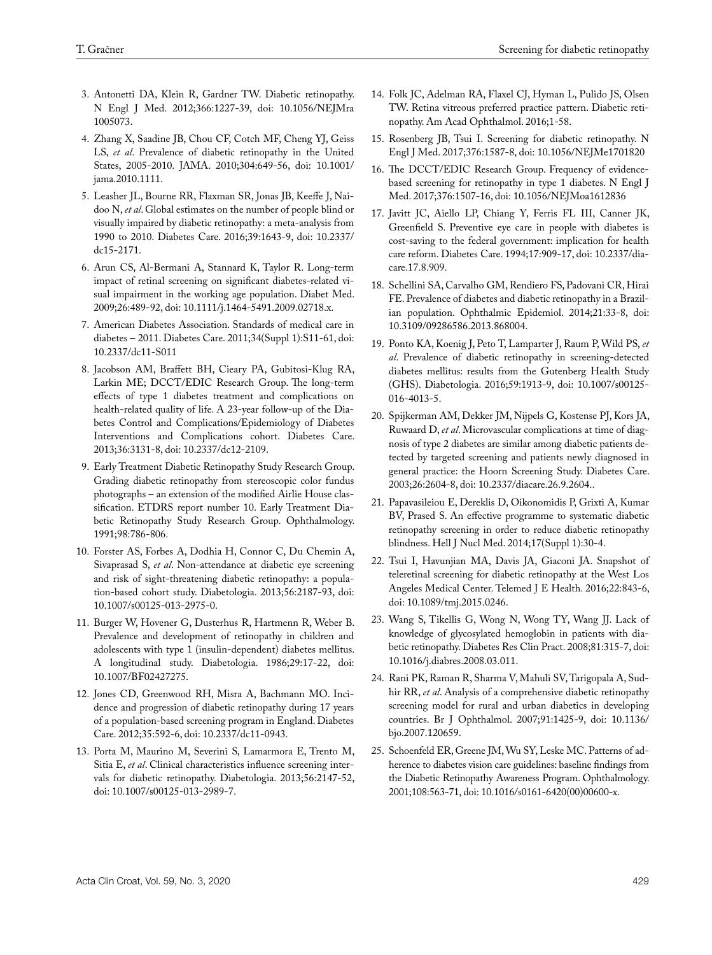- 3. Antonetti DA, Klein R, Gardner TW. Diabetic retinopathy. N Engl J Med. 2012;366:1227-39, doi: 10.1056/NEJMra 1005073.
- 4. Zhang X, Saadine JB, Chou CF, Cotch MF, Cheng YJ, Geiss LS, *et al*. Prevalence of diabetic retinopathy in the United States, 2005-2010. JAMA. 2010;304:649-56, doi: 10.1001/ jama.2010.1111.
- 5. Leasher JL, Bourne RR, Flaxman SR, Jonas JB, Keeffe J, Naidoo N, *et al*. Global estimates on the number of people blind or visually impaired by diabetic retinopathy: a meta-analysis from 1990 to 2010. Diabetes Care. 2016;39:1643-9, doi: 10.2337/ dc15-2171.
- 6. Arun CS, Al-Bermani A, Stannard K, Taylor R. Long-term impact of retinal screening on significant diabetes-related visual impairment in the working age population. Diabet Med. 2009;26:489-92, doi: 10.1111/j.1464-5491.2009.02718.x.
- 7. American Diabetes Association. Standards of medical care in diabetes – 2011. Diabetes Care. 2011;34(Suppl 1):S11-61, doi: [10.2337/dc11-S011](https://dx.doi.org/10.2337%2Fdc11-S011)
- 8. Jacobson AM, Braffett BH, Cieary PA, Gubitosi-Klug RA, Larkin ME; DCCT/EDIC Research Group. The long-term effects of type 1 diabetes treatment and complications on health-related quality of life. A 23-year follow-up of the Diabetes Control and Complications/Epidemiology of Diabetes Interventions and Complications cohort. Diabetes Care. 2013;36:3131-8, doi: 10.2337/dc12-2109.
- 9. Early Treatment Diabetic Retinopathy Study Research Group. Grading diabetic retinopathy from stereoscopic color fundus photographs – an extension of the modified Airlie House classification. ETDRS report number 10. Early Treatment Diabetic Retinopathy Study Research Group. Ophthalmology. 1991;98:786-806.
- 10. Forster AS, Forbes A, Dodhia H, Connor C, Du Chemin A, Sivaprasad S, *et al*. Non-attendance at diabetic eye screening and risk of sight-threatening diabetic retinopathy: a population-based cohort study. Diabetologia. 2013;56:2187-93, doi: 10.1007/s00125-013-2975-0.
- 11. Burger W, Hovener G, Dusterhus R, Hartmenn R, Weber B. Prevalence and development of retinopathy in children and adolescents with type 1 (insulin-dependent) diabetes mellitus. A longitudinal study. Diabetologia. 1986;29:17-22, doi: 10.1007/BF02427275.
- 12. Jones CD, Greenwood RH, Misra A, Bachmann MO. Incidence and progression of diabetic retinopathy during 17 years of a population-based screening program in England. Diabetes Care. 2012;35:592-6, doi: 10.2337/dc11-0943.
- 13. Porta M, Maurino M, Severini S, Lamarmora E, Trento M, Sitia E, *et al*. Clinical characteristics influence screening intervals for diabetic retinopathy. Diabetologia. 2013;56:2147-52, doi: 10.1007/s00125-013-2989-7.
- 14. Folk JC, Adelman RA, Flaxel CJ, Hyman L, Pulido JS, Olsen TW. Retina vitreous preferred practice pattern. Diabetic retinopathy. Am Acad Ophthalmol. 2016;1-58.
- 15. Rosenberg JB, Tsui I. Screening for diabetic retinopathy. N Engl J Med. 2017;376:1587-8, doi: 10.1056/NEJMe1701820
- 16. The DCCT/EDIC Research Group. Frequency of evidencebased screening for retinopathy in type 1 diabetes. N Engl J Med. 2017;376:1507-16, doi: 10.1056/NEJMoa1612836
- 17. Javitt JC, Aiello LP, Chiang Y, Ferris FL III, Canner JK, Greenfield S. Preventive eye care in people with diabetes is cost-saving to the federal government: implication for health care reform. Diabetes Care. 1994;17:909-17, doi: 10.2337/diacare.17.8.909.
- 18. Schellini SA, Carvalho GM, Rendiero FS, Padovani CR, Hirai FE. Prevalence of diabetes and diabetic retinopathy in a Brazilian population. Ophthalmic Epidemiol. 2014;21:33-8, doi: 10.3109/09286586.2013.868004.
- 19. Ponto KA, Koenig J, Peto T, Lamparter J, Raum P, Wild PS, *et al*. Prevalence of diabetic retinopathy in screening-detected diabetes mellitus: results from the Gutenberg Health Study (GHS). Diabetologia. 2016;59:1913-9, doi: 10.1007/s00125- 016-4013-5.
- 20. Spijkerman AM, Dekker JM, Nijpels G, Kostense PJ, Kors JA, Ruwaard D, *et al*. Microvascular complications at time of diagnosis of type 2 diabetes are similar among diabetic patients detected by targeted screening and patients newly diagnosed in general practice: the Hoorn Screening Study. Diabetes Care. 2003;26:2604-8, doi: 10.2337/diacare.26.9.2604..
- 21. Papavasileiou E, Dereklis D, Oikonomidis P, Grixti A, Kumar BV, Prased S. An effective programme to systematic diabetic retinopathy screening in order to reduce diabetic retinopathy blindness. Hell J Nucl Med. 2014;17(Suppl 1):30-4.
- 22. Tsui I, Havunjian MA, Davis JA, Giaconi JA. Snapshot of teleretinal screening for diabetic retinopathy at the West Los Angeles Medical Center. Telemed J E Health. 2016;22:843-6, doi: 10.1089/tmj.2015.0246.
- 23. Wang S, Tikellis G, Wong N, Wong TY, Wang JJ. Lack of knowledge of glycosylated hemoglobin in patients with diabetic retinopathy. Diabetes Res Clin Pract. 2008;81:315-7, doi: 10.1016/j.diabres.2008.03.011.
- 24. Rani PK, Raman R, Sharma V, Mahuli SV, Tarigopala A, Sudhir RR, *et al*. Analysis of a comprehensive diabetic retinopathy screening model for rural and urban diabetics in developing countries. Br J Ophthalmol. 2007;91:1425-9, doi: 10.1136/ bjo.2007.120659.
- 25. Schoenfeld ER, Greene JM, Wu SY, Leske MC. Patterns of adherence to diabetes vision care guidelines: baseline findings from the Diabetic Retinopathy Awareness Program. Ophthalmology. 2001;108:563-71, doi: 10.1016/s0161-6420(00)00600-x.